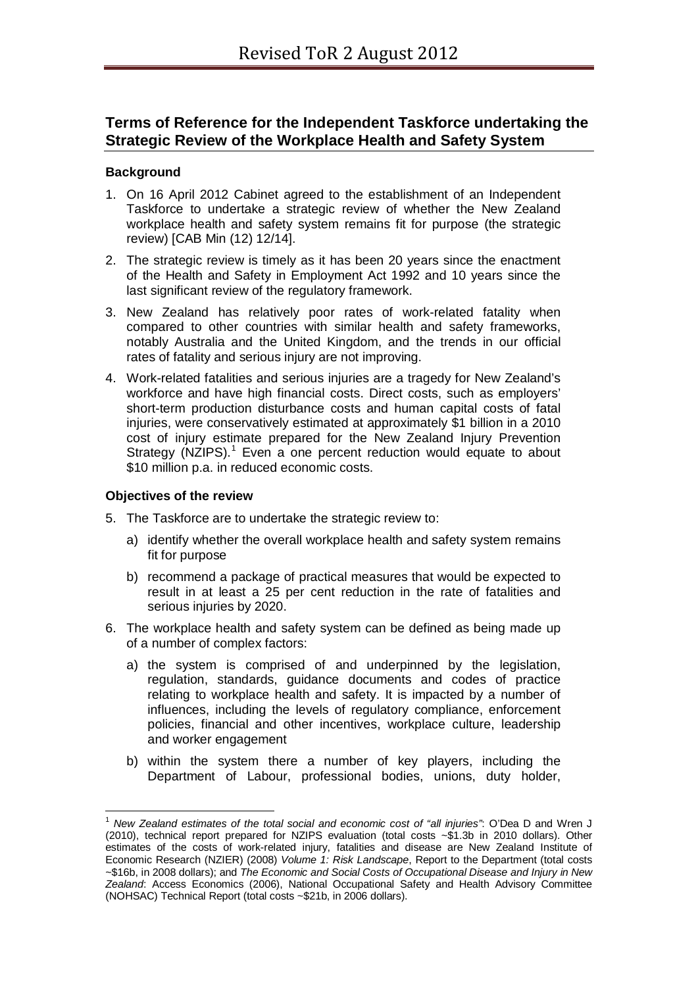# **Terms of Reference for the Independent Taskforce undertaking the Strategic Review of the Workplace Health and Safety System**

## **Background**

- 1. On 16 April 2012 Cabinet agreed to the establishment of an Independent Taskforce to undertake a strategic review of whether the New Zealand workplace health and safety system remains fit for purpose (the strategic review) [CAB Min (12) 12/14].
- 2. The strategic review is timely as it has been 20 years since the enactment of the Health and Safety in Employment Act 1992 and 10 years since the last significant review of the regulatory framework.
- 3. New Zealand has relatively poor rates of work-related fatality when compared to other countries with similar health and safety frameworks, notably Australia and the United Kingdom, and the trends in our official rates of fatality and serious injury are not improving.
- 4. Work-related fatalities and serious injuries are a tragedy for New Zealand's workforce and have high financial costs. Direct costs, such as employers' short-term production disturbance costs and human capital costs of fatal injuries, were conservatively estimated at approximately \$1 billion in a 2010 cost of injury estimate prepared for the New Zealand Injury Prevention Strategy (NZIPS).<sup>[1](#page-0-0)</sup> Even a one percent reduction would equate to about \$10 million p.a. in reduced economic costs.

#### **Objectives of the review**

- 5. The Taskforce are to undertake the strategic review to:
	- a) identify whether the overall workplace health and safety system remains fit for purpose
	- b) recommend a package of practical measures that would be expected to result in at least a 25 per cent reduction in the rate of fatalities and serious injuries by 2020.
- 6. The workplace health and safety system can be defined as being made up of a number of complex factors:
	- a) the system is comprised of and underpinned by the legislation, regulation, standards, guidance documents and codes of practice relating to workplace health and safety. It is impacted by a number of influences, including the levels of regulatory compliance, enforcement policies, financial and other incentives, workplace culture, leadership and worker engagement
	- b) within the system there a number of key players, including the Department of Labour, professional bodies, unions, duty holder,

<span id="page-0-0"></span><sup>1</sup> *New Zealand estimates of the total social and economic cost of "all injuries"*: O'Dea D and Wren J (2010), technical report prepared for NZIPS evaluation (total costs ~\$1.3b in 2010 dollars). Other estimates of the costs of work-related injury, fatalities and disease are New Zealand Institute of Economic Research (NZIER) (2008) *Volume 1: Risk Landscape*, Report to the Department (total costs ~\$16b, in 2008 dollars); and *The Economic and Social Costs of Occupational Disease and Injury in New Zealand*: Access Economics (2006), National Occupational Safety and Health Advisory Committee (NOHSAC) Technical Report (total costs ~\$21b, in 2006 dollars).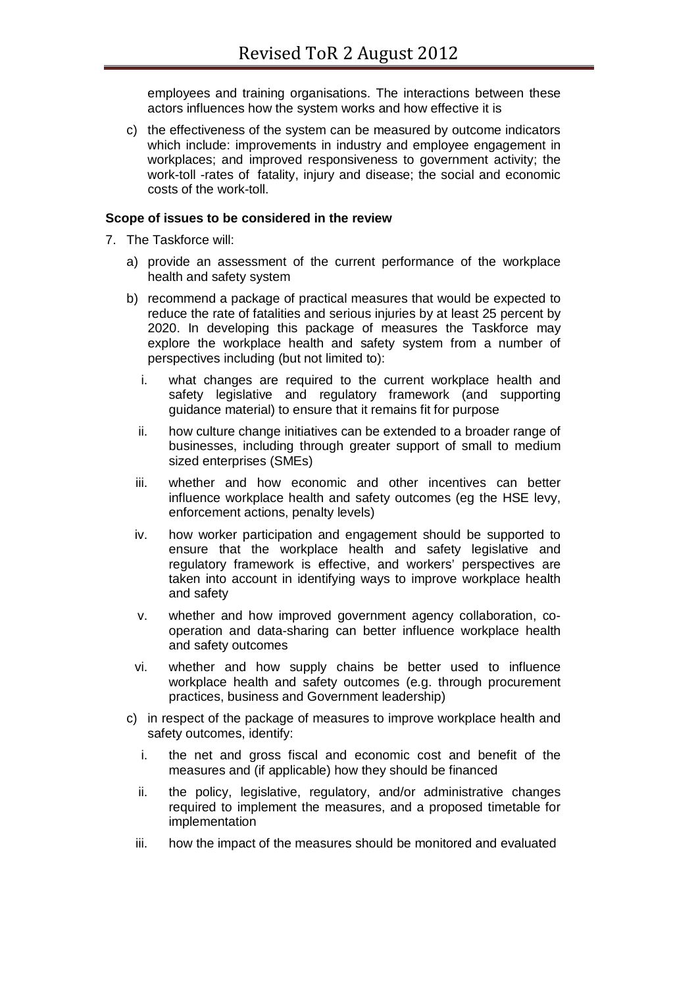employees and training organisations. The interactions between these actors influences how the system works and how effective it is

c) the effectiveness of the system can be measured by outcome indicators which include: improvements in industry and employee engagement in workplaces; and improved responsiveness to government activity; the work-toll -rates of fatality, injury and disease; the social and economic costs of the work-toll.

#### **Scope of issues to be considered in the review**

- 7. The Taskforce will:
	- a) provide an assessment of the current performance of the workplace health and safety system
	- b) recommend a package of practical measures that would be expected to reduce the rate of fatalities and serious injuries by at least 25 percent by 2020. In developing this package of measures the Taskforce may explore the workplace health and safety system from a number of perspectives including (but not limited to):
		- i. what changes are required to the current workplace health and safety legislative and regulatory framework (and supporting guidance material) to ensure that it remains fit for purpose
		- ii. how culture change initiatives can be extended to a broader range of businesses, including through greater support of small to medium sized enterprises (SMEs)
		- iii. whether and how economic and other incentives can better influence workplace health and safety outcomes (eg the HSE levy, enforcement actions, penalty levels)
		- iv. how worker participation and engagement should be supported to ensure that the workplace health and safety legislative and regulatory framework is effective, and workers' perspectives are taken into account in identifying ways to improve workplace health and safety
		- v. whether and how improved government agency collaboration, cooperation and data-sharing can better influence workplace health and safety outcomes
		- vi. whether and how supply chains be better used to influence workplace health and safety outcomes (e.g. through procurement practices, business and Government leadership)
	- c) in respect of the package of measures to improve workplace health and safety outcomes, identify:
		- i. the net and gross fiscal and economic cost and benefit of the measures and (if applicable) how they should be financed
		- ii. the policy, legislative, regulatory, and/or administrative changes required to implement the measures, and a proposed timetable for implementation
		- iii. how the impact of the measures should be monitored and evaluated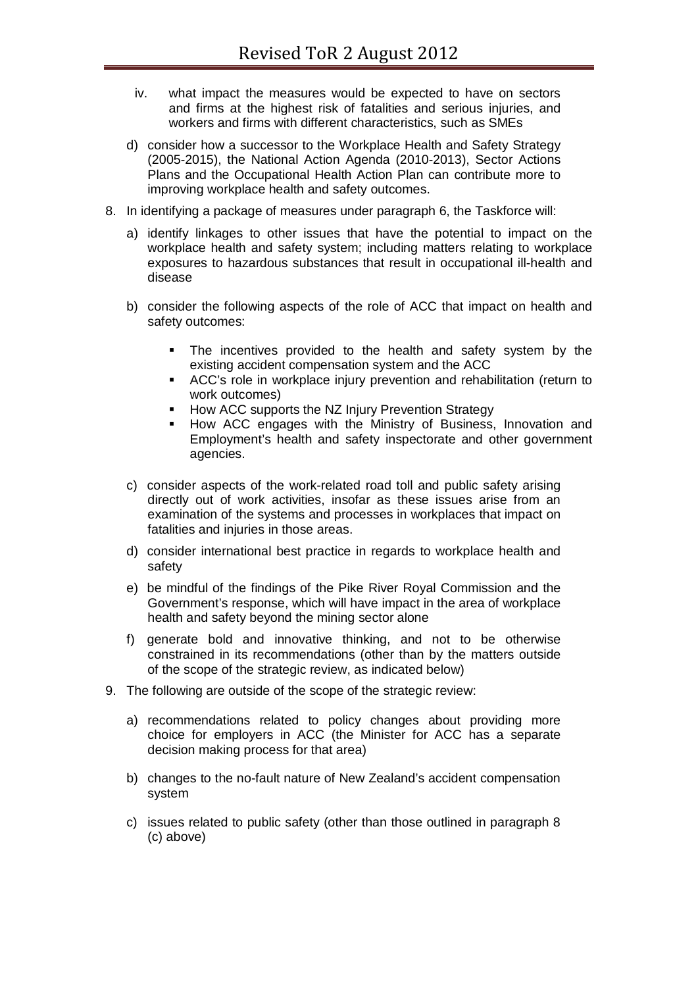- iv. what impact the measures would be expected to have on sectors and firms at the highest risk of fatalities and serious injuries, and workers and firms with different characteristics, such as SMEs
- d) consider how a successor to the Workplace Health and Safety Strategy (2005-2015), the National Action Agenda (2010-2013), Sector Actions Plans and the Occupational Health Action Plan can contribute more to improving workplace health and safety outcomes.
- 8. In identifying a package of measures under paragraph 6, the Taskforce will:
	- a) identify linkages to other issues that have the potential to impact on the workplace health and safety system; including matters relating to workplace exposures to hazardous substances that result in occupational ill-health and disease
	- b) consider the following aspects of the role of ACC that impact on health and safety outcomes:
		- The incentives provided to the health and safety system by the existing accident compensation system and the ACC
		- ACC's role in workplace injury prevention and rehabilitation (return to work outcomes)
		- **How ACC supports the NZ Injury Prevention Strategy**
		- How ACC engages with the Ministry of Business, Innovation and Employment's health and safety inspectorate and other government agencies.
	- c) consider aspects of the work-related road toll and public safety arising directly out of work activities, insofar as these issues arise from an examination of the systems and processes in workplaces that impact on fatalities and injuries in those areas.
	- d) consider international best practice in regards to workplace health and safety
	- e) be mindful of the findings of the Pike River Royal Commission and the Government's response, which will have impact in the area of workplace health and safety beyond the mining sector alone
	- f) generate bold and innovative thinking, and not to be otherwise constrained in its recommendations (other than by the matters outside of the scope of the strategic review, as indicated below)
- 9. The following are outside of the scope of the strategic review:
	- a) recommendations related to policy changes about providing more choice for employers in ACC (the Minister for ACC has a separate decision making process for that area)
	- b) changes to the no-fault nature of New Zealand's accident compensation system
	- c) issues related to public safety (other than those outlined in paragraph 8 (c) above)